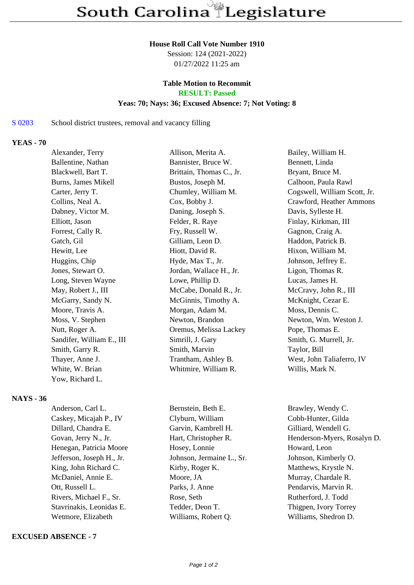#### **House Roll Call Vote Number 1910**

Session: 124 (2021-2022) 01/27/2022 11:25 am

# **Table Motion to Recommit**

# **RESULT: Passed**

### **Yeas: 70; Nays: 36; Excused Absence: 7; Not Voting: 8**

### S 0203 School district trustees, removal and vacancy filling

## **YEAS - 70**

| Alexander, Terry          | Allison, Merita A.       | Bailey, William H.           |
|---------------------------|--------------------------|------------------------------|
| Ballentine, Nathan        | Bannister, Bruce W.      | Bennett, Linda               |
| Blackwell, Bart T.        | Brittain, Thomas C., Jr. | Bryant, Bruce M.             |
| Burns, James Mikell       | Bustos, Joseph M.        | Calhoon, Paula Rawl          |
| Carter, Jerry T.          | Chumley, William M.      | Cogswell, William Scott, Jr. |
| Collins, Neal A.          | Cox, Bobby J.            | Crawford, Heather Ammons     |
| Dabney, Victor M.         | Daning, Joseph S.        | Davis, Sylleste H.           |
| Elliott, Jason            | Felder, R. Raye          | Finlay, Kirkman, III         |
| Forrest, Cally R.         | Fry, Russell W.          | Gagnon, Craig A.             |
| Gatch, Gil                | Gilliam, Leon D.         | Haddon, Patrick B.           |
| Hewitt, Lee               | Hiott, David R.          | Hixon, William M.            |
| Huggins, Chip             | Hyde, Max T., Jr.        | Johnson, Jeffrey E.          |
| Jones, Stewart O.         | Jordan, Wallace H., Jr.  | Ligon, Thomas R.             |
| Long, Steven Wayne        | Lowe, Phillip D.         | Lucas, James H.              |
| May, Robert J., III       | McCabe, Donald R., Jr.   | McCravy, John R., III        |
| McGarry, Sandy N.         | McGinnis, Timothy A.     | McKnight, Cezar E.           |
| Moore, Travis A.          | Morgan, Adam M.          | Moss, Dennis C.              |
| Moss, V. Stephen          | Newton, Brandon          | Newton, Wm. Weston J.        |
| Nutt, Roger A.            | Oremus, Melissa Lackey   | Pope, Thomas E.              |
| Sandifer, William E., III | Simrill, J. Gary         | Smith, G. Murrell, Jr.       |
| Smith, Garry R.           | Smith, Marvin            | Taylor, Bill                 |
| Thayer, Anne J.           | Trantham, Ashley B.      | West, John Taliaferro, IV    |
| White, W. Brian           | Whitmire, William R.     | Willis, Mark N.              |
| Yow, Richard L.           |                          |                              |

#### **NAYS - 36**

| Anderson, Carl L.         | Bernstein, Beth E.        | Brawley, Wendy C.     |
|---------------------------|---------------------------|-----------------------|
| Caskey, Micajah P., IV    | Clyburn, William          | Cobb-Hunter, Gilda    |
| Dillard, Chandra E.       | Garvin, Kambrell H.       | Gilliard, Wendell G.  |
| Govan, Jerry N., Jr.      | Hart, Christopher R.      | Henderson-Myers, Ro   |
| Henegan, Patricia Moore   | Hosey, Lonnie             | Howard, Leon          |
| Jefferson, Joseph H., Jr. | Johnson, Jermaine L., Sr. | Johnson, Kimberly O.  |
| King, John Richard C.     | Kirby, Roger K.           | Matthews, Krystle N.  |
| McDaniel, Annie E.        | Moore, JA                 | Murray, Chardale R.   |
| Ott, Russell L.           | Parks, J. Anne            | Pendarvis, Marvin R.  |
| Rivers, Michael F., Sr.   | Rose, Seth                | Rutherford, J. Todd   |
| Stavrinakis, Leonidas E.  | Tedder, Deon T.           | Thigpen, Ivory Torrey |
| Wetmore, Elizabeth        | Williams, Robert Q.       | Williams, Shedron D.  |
|                           |                           |                       |

#### **EXCUSED ABSENCE - 7**

Myers, Rosalyn D.